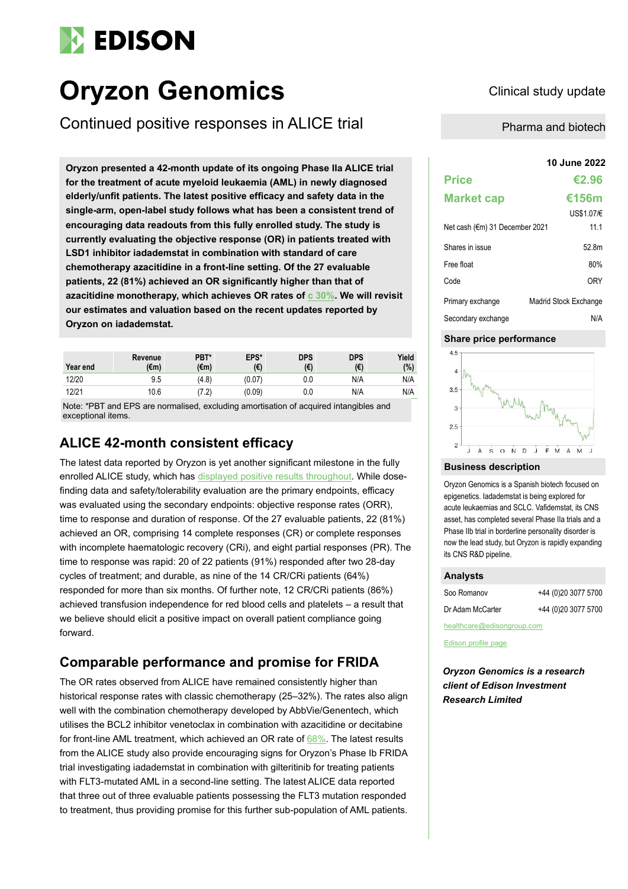# **EDISON**

# **Oryzon Genomics** Clinical study update

Continued positive responses in ALICE trial Pharma and biotech

**10 June 2022 Oryzon presented a 42-month update of its ongoing Phase IIa ALICE trial for the treatment of acute myeloid leukaemia (AML) in newly diagnosed elderly/unfit patients. The latest positive efficacy and safety data in the single-arm, open-label study follows what has been a consistent trend of encouraging data readouts from this fully enrolled study. The study is currently evaluating the objective response (OR) in patients treated with LSD1 inhibitor iadademstat in combination with standard of care chemotherapy azacitidine in a front-line setting. Of the 27 evaluable patients, 22 (81%) achieved an OR significantly higher than that of azacitidine monotherapy, which achieves OR rates of [c 30%.](https://pubmed.ncbi.nlm.nih.gov/21761399/) We will revisit our estimates and valuation based on the recent updates reported by Oryzon on iadademstat.**

| Year end | Revenue<br>$(\epsilon m)$ | PBT*<br>(€m) | EPS*<br>(€) | <b>DPS</b><br>(€) | <b>DPS</b><br>(E) | Yield<br>(%) |
|----------|---------------------------|--------------|-------------|-------------------|-------------------|--------------|
| 12/20    | 9.5                       | (4.8)        | (0.07)      | 0.0               | N/A               | N/A          |
| 12/21    | 10.6                      | '2.          | (0.09)      | 0.0               | N/A               | N/A          |

Note: \*PBT and EPS are normalised, excluding amortisation of acquired intangibles and exceptional items.

## **ALICE 42-month consistent efficacy**

The latest data reported by Oryzon is yet another significant milestone in the fully enrolled ALICE study, which ha[s displayed positive results throughout.](https://www.edisongroup.com/wp-content/uploads/2022/02/Oryzon-Genomics-Planning-iadademstats-path-to-market.pdf) While dosefinding data and safety/tolerability evaluation are the primary endpoints, efficacy was evaluated using the secondary endpoints: objective response rates (ORR), time to response and duration of response. Of the 27 evaluable patients, 22 (81%) achieved an OR, comprising 14 complete responses (CR) or complete responses with incomplete haematologic recovery (CRi), and eight partial responses (PR). The time to response was rapid: 20 of 22 patients (91%) responded after two 28-day cycles of treatment; and durable, as nine of the 14 CR/CRi patients (64%) responded for more than six months. Of further note, 12 CR/CRi patients (86%) achieved transfusion independence for red blood cells and platelets – a result that we believe should elicit a positive impact on overall patient compliance going forward.

# **Comparable performance and promise for FRIDA**

The OR rates observed from ALICE have remained consistently higher than historical response rates with classic chemotherapy (25–32%). The rates also align well with the combination chemotherapy developed by AbbVie/Genentech, which utilises the BCL2 inhibitor venetoclax in combination with azacitidine or decitabine for front-line AML treatment, which achieved an OR rate of [68%.](https://ashpublications.org/blood/article/133/1/7/6611/Venetoclax-combined-with-decitabine-or-azacitidine) The latest results from the ALICE study also provide encouraging signs for Oryzon's Phase Ib FRIDA trial investigating iadademstat in combination with gilteritinib for treating patients with FLT3-mutated AML in a second-line setting. The latest ALICE data reported that three out of three evaluable patients possessing the FLT3 mutation responded to treatment, thus providing promise for this further sub-population of AML patients.

| <b>Price</b>                   | €2.96                 |
|--------------------------------|-----------------------|
| <b>Market cap</b>              | €156m                 |
|                                | US\$1.07/€            |
| Net cash (€m) 31 December 2021 | 11.1                  |
| Shares in issue                | 52.8m                 |
| Free float                     | 80%                   |
| Code                           | <b>ORY</b>            |
| Primary exchange               | Madrid Stock Exchange |
| Secondary exchange             | N/A                   |

### **Share price performance**



#### **Business description**

Oryzon Genomics is a Spanish biotech focused on epigenetics. Iadademstat is being explored for acute leukaemias and SCLC. Vafidemstat, its CNS asset, has completed several Phase IIa trials and a Phase IIb trial in borderline personality disorder is now the lead study, but Oryzon is rapidly expanding its CNS R&D pipeline.

## **Analysts**

| Soo Romanov      | +44 (0)20 3077 5700 |
|------------------|---------------------|
| Dr Adam McCarter | +44 (0)20 3077 5700 |

healthcare@edisongroup.com

[Edison profile page](https://www.edisongroup.com/company/oryzon-genomics/)

*Oryzon Genomics is a research client of Edison Investment Research Limited*